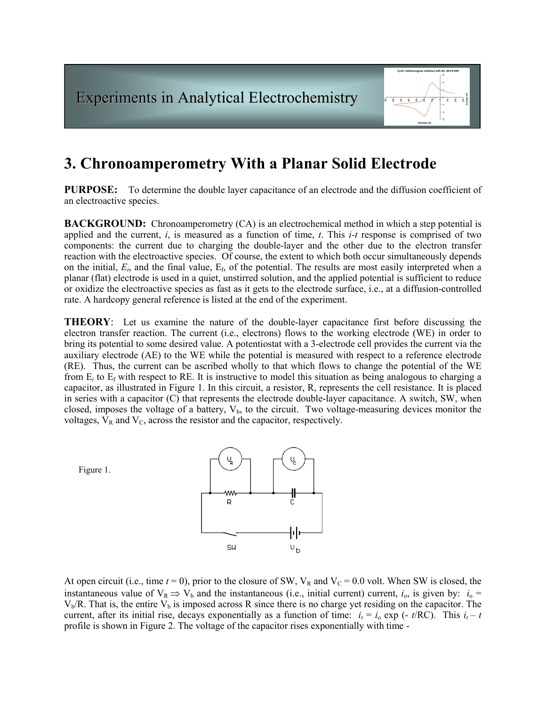

# 3. Chronoamperometry With a Planar Solid Electrode

PURPOSE: To determine the double layer capacitance of an electrode and the diffusion coefficient of an electroactive species.

**BACKGROUND:** Chronoamperometry (CA) is an electrochemical method in which a step potential is applied and the current,  $i$ , is measured as a function of time,  $t$ . This  $i-t$  response is comprised of two components: the current due to charging the double-layer and the other due to the electron transfer reaction with the electroactive species. Of course, the extent to which both occur simultaneously depends on the initial,  $E_i$ , and the final value,  $E_f$ , of the potential. The results are most easily interpreted when a planar (flat) electrode is used in a quiet, unstirred solution, and the applied potential is sufficient to reduce or oxidize the electroactive species as fast as it gets to the electrode surface, i.e., at a diffusion-controlled rate. A hardcopy general reference is listed at the end of the experiment.

THEORY: Let us examine the nature of the double-layer capacitance first before discussing the electron transfer reaction. The current (i.e., electrons) flows to the working electrode (WE) in order to bring its potential to some desired value. A potentiostat with a 3-electrode cell provides the current via the auxiliary electrode (AE) to the WE while the potential is measured with respect to a reference electrode (RE). Thus, the current can be ascribed wholly to that which flows to change the potential of the WE from  $E_i$  to  $E_f$  with respect to RE. It is instructive to model this situation as being analogous to charging a capacitor, as illustrated in Figure 1. In this circuit, a resistor, R, represents the cell resistance. It is placed in series with a capacitor (C) that represents the electrode double-layer capacitance. A switch, SW, when closed, imposes the voltage of a battery,  $V<sub>b</sub>$ , to the circuit. Two voltage-measuring devices monitor the voltages,  $V_R$  and  $V_C$ , across the resistor and the capacitor, respectively.



At open circuit (i.e., time  $t = 0$ ), prior to the closure of SW,  $V_R$  and  $V_C = 0.0$  volt. When SW is closed, the instantaneous value of  $V_R \Rightarrow V_b$  and the instantaneous (i.e., initial current) current,  $i_o$ , is given by:  $i_o =$  $V<sub>b</sub>/R$ . That is, the entire  $V<sub>b</sub>$  is imposed across R since there is no charge yet residing on the capacitor. The current, after its initial rise, decays exponentially as a function of time:  $i_t = i_0 \exp(-t/RC)$ . This  $i_t - t$ profile is shown in Figure 2. The voltage of the capacitor rises exponentially with time -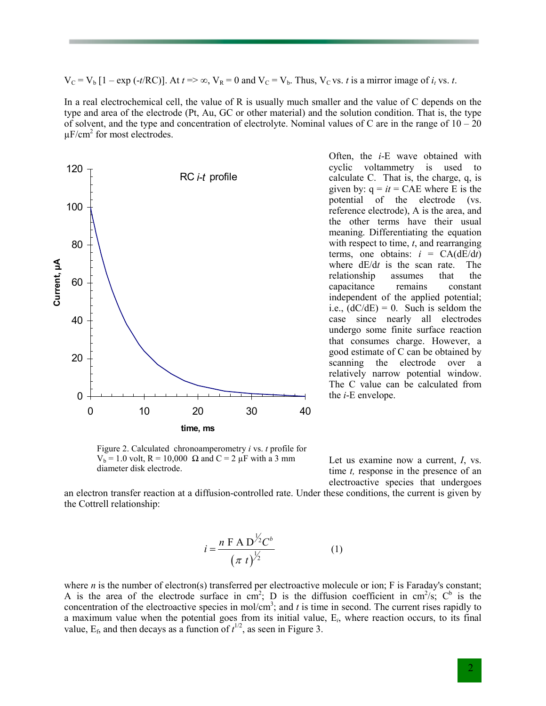$V_C = V_b [1 - \exp(-t/RC)]$ . At  $t \Rightarrow \infty$ ,  $V_R = 0$  and  $V_C = V_b$ . Thus,  $V_C$  vs. t is a mirror image of  $i_t$  vs. t.

In a real electrochemical cell, the value of R is usually much smaller and the value of C depends on the type and area of the electrode (Pt, Au, GC or other material) and the solution condition. That is, the type of solvent, and the type and concentration of electrolyte. Nominal values of C are in the range of  $10 - 20$  $\mu$ F/cm<sup>2</sup> for most electrodes.



Figure 2. Calculated chronoamperometry i vs. t profile for V<sub>b</sub> = 1.0 volt, R = 10,000 Ω and C = 2 μF with a 3 mm diameter disk electrode.

Often, the i-E wave obtained with cyclic voltammetry is used to calculate C. That is, the charge, q, is given by:  $q = it = CAE$  where E is the potential of the electrode (vs. reference electrode), A is the area, and the other terms have their usual meaning. Differentiating the equation with respect to time,  $t$ , and rearranging terms, one obtains:  $i = CA(dE/dt)$ where  $dE/dt$  is the scan rate. The relationship assumes that the capacitance remains constant independent of the applied potential; i.e.,  $(dC/dE) = 0$ . Such is seldom the case since nearly all electrodes undergo some finite surface reaction that consumes charge. However, a good estimate of C can be obtained by scanning the electrode over a relatively narrow potential window. The C value can be calculated from the i-E envelope.

Let us examine now a current, I, vs. time *t*, response in the presence of an electroactive species that undergoes

an electron transfer reaction at a diffusion-controlled rate. Under these conditions, the current is given by the Cottrell relationship:

$$
i = \frac{n \text{ F A D}^{\frac{1}{2}} C^{b}}{(\pi t)^{\frac{1}{2}}}
$$
 (1)

where *n* is the number of electron(s) transferred per electroactive molecule or ion; F is Faraday's constant; A is the area of the electrode surface in cm<sup>2</sup>; D is the diffusion coefficient in cm<sup>2</sup>/s; C<sup>b</sup> is the concentration of the electroactive species in mol/cm<sup>3</sup>; and t is time in second. The current rises rapidly to a maximum value when the potential goes from its initial value,  $E_i$ , where reaction occurs, to its final value,  $E_f$ , and then decays as a function of  $t^{1/2}$ , as seen in Figure 3.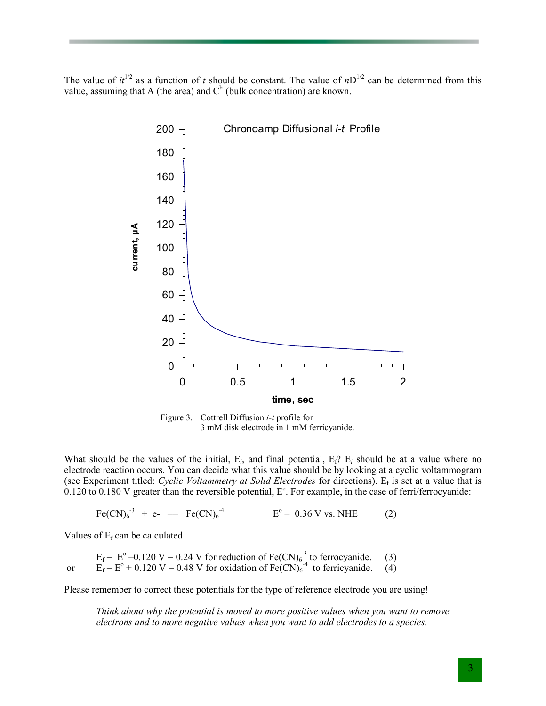The value of  $it^{1/2}$  as a function of t should be constant. The value of  $nD^{1/2}$  can be determined from this value, assuming that A (the area) and  $C<sup>b</sup>$  (bulk concentration) are known.



Figure 3. Cottrell Diffusion i-t profile for 3 mM disk electrode in 1 mM ferricyanide.

What should be the values of the initial,  $E_i$ , and final potential,  $E_f$ ?  $E_i$  should be at a value where no electrode reaction occurs. You can decide what this value should be by looking at a cyclic voltammogram (see Experiment titled: Cyclic Voltammetry at Solid Electrodes for directions). E<sub>f</sub> is set at a value that is  $0.120$  to  $0.180$  V greater than the reversible potential,  $E^{\circ}$ . For example, in the case of ferri/ferrocyanide:

 $Fe(CN)_{6}^{3}$  + e- ==  $Fe(CN)_{6}$  $E^{\circ} = 0.36 \text{ V} \text{ vs. } \text{NHE}$  (2)

Values of  $E_f$  can be calculated

 $E_f$  =  $E^{\circ}$  –0.120 V = 0.24 V for reduction of Fe(CN)<sub>6</sub><sup>-3</sup> to ferrocyanide. (3) or  $E_f = E^{\circ} + 0.120 \text{ V} = 0.48 \text{ V}$  for oxidation of  $Fe(CN)_6^{-4}$  to ferricyanide. (4)

Please remember to correct these potentials for the type of reference electrode you are using!

Think about why the potential is moved to more positive values when you want to remove electrons and to more negative values when you want to add electrodes to a species.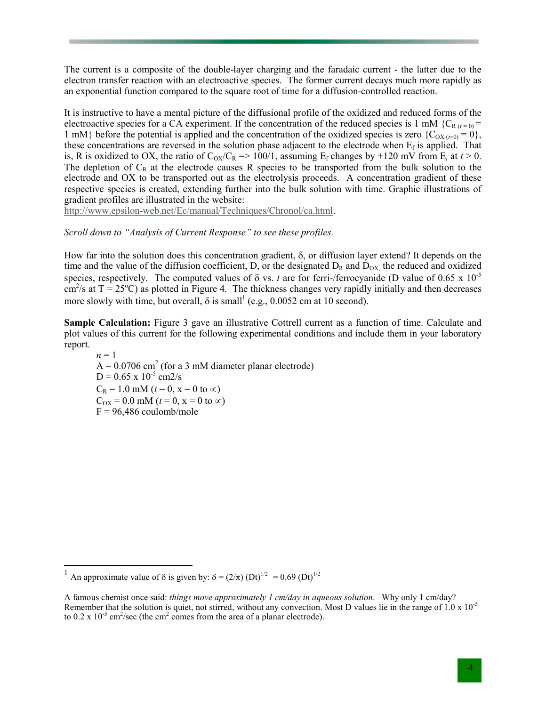The current is a composite of the double-layer charging and the faradaic current - the latter due to the electron transfer reaction with an electroactive species. The former current decays much more rapidly as an exponential function compared to the square root of time for a diffusion-controlled reaction.

It is instructive to have a mental picture of the diffusional profile of the oxidized and reduced forms of the electroactive species for a CA experiment. If the concentration of the reduced species is 1 mM {C<sub>R (t = 0</sub>) = 1 mM} before the potential is applied and the concentration of the oxidized species is zero  ${C_{OX}}_{t=0} = 0$ , these concentrations are reversed in the solution phase adjacent to the electrode when  $E_f$  is applied. That is, R is oxidized to OX, the ratio of  $C_{OX}/C_R \Rightarrow 100/1$ , assuming  $E_f$  changes by +120 mV from  $E_i$  at  $t > 0$ . The depletion of  $C_R$  at the electrode causes R species to be transported from the bulk solution to the electrode and OX to be transported out as the electrolysis proceeds. A concentration gradient of these respective species is created, extending further into the bulk solution with time. Graphic illustrations of gradient profiles are illustrated in the website:

http://www.epsilon-web.net/Ec/manual/Techniques/Chronol/ca.html.

## Scroll down to "Analysis of Current Response" to see these profiles.

How far into the solution does this concentration gradient, δ, or diffusion layer extend? It depends on the time and the value of the diffusion coefficient, D, or the designated  $D_R$  and  $D_{OX}$ , the reduced and oxidized species, respectively. The computed values of  $\delta$  vs. t are for ferri-/ferrocyanide (D value of 0.65 x 10<sup>-5</sup>  $\text{cm}^2/\text{s}$  at T = 25<sup>o</sup>C) as plotted in Figure 4. The thickness changes very rapidly initially and then decreases more slowly with time, but overall,  $\delta$  is small<sup>1</sup> (e.g., 0.0052 cm at 10 second).

Sample Calculation: Figure 3 gave an illustrative Cottrell current as a function of time. Calculate and plot values of this current for the following experimental conditions and include them in your laboratory report.

 $n = 1$  $A = 0.0706$  cm<sup>2</sup> (for a 3 mM diameter planar electrode)  $D = 0.65 \times 10^{-5}$  cm2/s  $C_R = 1.0$  mM ( $t = 0$ ,  $x = 0$  to  $\infty$ )  $C_{OX} = 0.0$  mM ( $t = 0$ ,  $x = 0$  to  $\infty$ )  $F = 96,486$  coulomb/mole

<sup>&</sup>lt;sup>1</sup> An approximate value of  $\delta$  is given by:  $\delta = (2/\pi)$  (Dt)<sup>1/2</sup> = 0.69 (Dt)<sup>1/2</sup>

A famous chemist once said: things move approximately 1 cm/day in aqueous solution. Why only 1 cm/day? Remember that the solution is quiet, not stirred, without any convection. Most D values lie in the range of  $1.0 \times 10^{-5}$ to  $0.2 \times 10^{-5}$  cm<sup>2</sup>/sec (the cm<sup>2</sup> comes from the area of a planar electrode).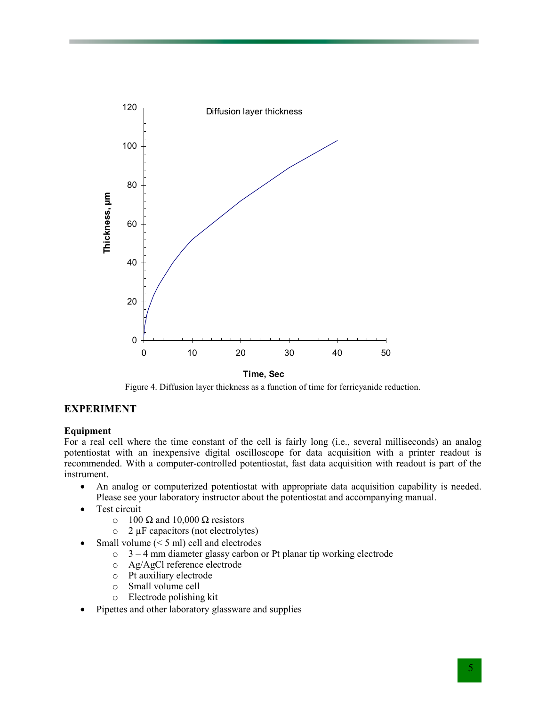

Time, Sec

Figure 4. Diffusion layer thickness as a function of time for ferricyanide reduction.

## EXPERIMENT

#### Equipment

For a real cell where the time constant of the cell is fairly long (i.e., several milliseconds) an analog potentiostat with an inexpensive digital oscilloscope for data acquisition with a printer readout is recommended. With a computer-controlled potentiostat, fast data acquisition with readout is part of the instrument.

- An analog or computerized potentiostat with appropriate data acquisition capability is needed. Please see your laboratory instructor about the potentiostat and accompanying manual.
- Test circuit
	- $\circ$  100 Ω and 10,000 Ω resistors
	- $\circ$  2  $\mu$ F capacitors (not electrolytes)
- Small volume  $(< 5$  ml) cell and electrodes
	- o 3 4 mm diameter glassy carbon or Pt planar tip working electrode
	- o Ag/AgCl reference electrode
	- o Pt auxiliary electrode
	- o Small volume cell
	- o Electrode polishing kit
- Pipettes and other laboratory glassware and supplies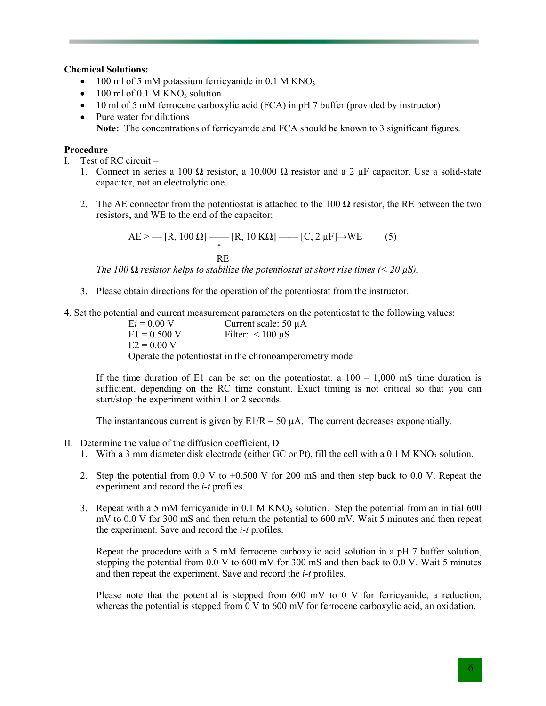#### Chemical Solutions:

- 100 ml of 5 mM potassium ferricyanide in 0.1 M KNO<sub>3</sub>
- $\bullet$  100 ml of 0.1 M KNO<sub>3</sub> solution
- 10 ml of 5 mM ferrocene carboxylic acid (FCA) in pH 7 buffer (provided by instructor)
- Pure water for dilutions Note: The concentrations of ferricyanide and FCA should be known to 3 significant figures.

## Procedure

- I. Test of RC circuit
	- 1. Connect in series a 100 Ω resistor, a 10,000 Ω resistor and a 2  $\mu$ F capacitor. Use a solid-state capacitor, not an electrolytic one.
	- 2. The AE connector from the potentiostat is attached to the 100  $\Omega$  resistor, the RE between the two resistors, and WE to the end of the capacitor:

$$
AE > - [R, 100 \Omega] \longrightarrow [R, 10 K\Omega] \longrightarrow [C, 2 \mu F] \longrightarrow WE
$$
 (5)  
RE

The 100  $\Omega$  resistor helps to stabilize the potentiostat at short rise times (< 20  $\mu$ S).

- 3. Please obtain directions for the operation of the potentiostat from the instructor.
- 4. Set the potential and current measurement parameters on the potentiostat to the following values:<br> $Ei = 0.00 \text{ V}$  Current scale: 50  $\mu$ A

 $Ei = 0.00 \text{ V}$  Current scale: 50 µA<br>E1 = 0.500 V Filter: <100 uS Filter:  $< 100 \mu S$  $E2 = 0.00 V$ Operate the potentiostat in the chronoamperometry mode

If the time duration of E1 can be set on the potentiostat, a  $100 - 1,000$  mS time duration is sufficient, depending on the RC time constant. Exact timing is not critical so that you can start/stop the experiment within 1 or 2 seconds.

The instantaneous current is given by  $E1/R = 50 \mu A$ . The current decreases exponentially.

- II. Determine the value of the diffusion coefficient, D
	- 1. With a 3 mm diameter disk electrode (either GC or Pt), fill the cell with a  $0.1 M KNO<sub>3</sub>$  solution.
	- 2. Step the potential from 0.0 V to +0.500 V for 200 mS and then step back to 0.0 V. Repeat the experiment and record the i-t profiles.
	- 3. Repeat with a 5 mM ferricyanide in  $0.1$  M KNO<sub>3</sub> solution. Step the potential from an initial 600 mV to 0.0 V for 300 mS and then return the potential to 600 mV. Wait 5 minutes and then repeat the experiment. Save and record the i-t profiles.

Repeat the procedure with a 5 mM ferrocene carboxylic acid solution in a pH 7 buffer solution, stepping the potential from  $0.0 \text{ V}$  to  $600 \text{ mV}$  for 300 mS and then back to  $0.0 \text{ V}$ . Wait 5 minutes and then repeat the experiment. Save and record the i-t profiles.

Please note that the potential is stepped from 600 mV to 0 V for ferricyanide, a reduction, whereas the potential is stepped from  $\overline{0}$  V to 600 mV for ferrocene carboxylic acid, an oxidation.